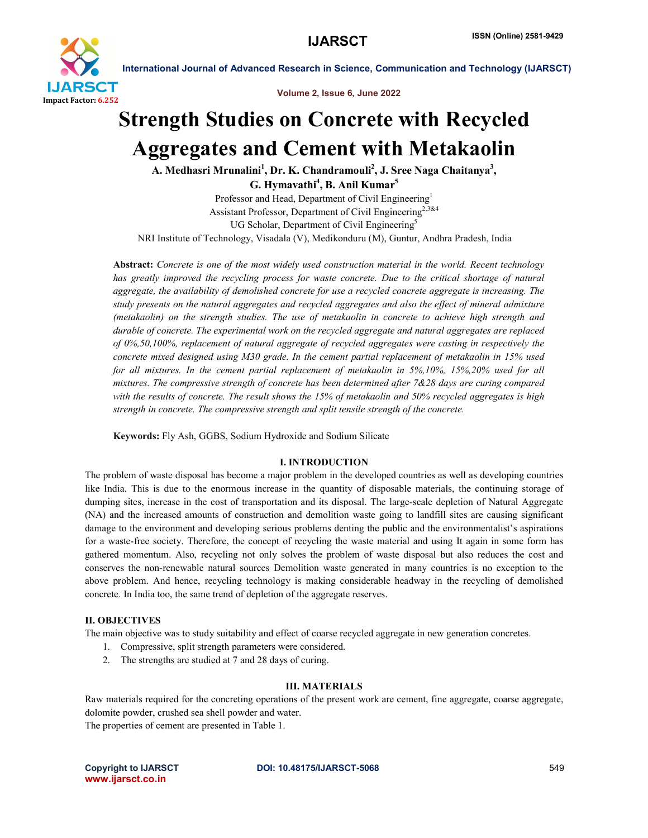

Volume 2, Issue 6, June 2022

# Strength Studies on Concrete with Recycled Aggregates and Cement with Metakaolin

A. Medhasri Mrunalini<sup>1</sup>, Dr. K. Chandramouli<sup>2</sup>, J. Sree Naga Chaitanya<sup>3</sup>, G. Hymavathi<sup>4</sup>, B. Anil Kumar<sup>5</sup>

Professor and Head, Department of Civil Engineering<sup>1</sup> Assistant Professor, Department of Civil Engineering<sup>2,3&4</sup> UG Scholar, Department of Civil Engineering<sup>5</sup> NRI Institute of Technology, Visadala (V), Medikonduru (M), Guntur, Andhra Pradesh, India

Abstract: *Concrete is one of the most widely used construction material in the world. Recent technology has greatly improved the recycling process for waste concrete. Due to the critical shortage of natural aggregate, the availability of demolished concrete for use a recycled concrete aggregate is increasing. The study presents on the natural aggregates and recycled aggregates and also the effect of mineral admixture (metakaolin) on the strength studies. The use of metakaolin in concrete to achieve high strength and durable of concrete. The experimental work on the recycled aggregate and natural aggregates are replaced of 0%,50,100%, replacement of natural aggregate of recycled aggregates were casting in respectively the concrete mixed designed using M30 grade. In the cement partial replacement of metakaolin in 15% used for all mixtures. In the cement partial replacement of metakaolin in 5%,10%, 15%,20% used for all mixtures. The compressive strength of concrete has been determined after 7&28 days are curing compared with the results of concrete. The result shows the 15% of metakaolin and 50% recycled aggregates is high strength in concrete. The compressive strength and split tensile strength of the concrete.*

Keywords: Fly Ash, GGBS, Sodium Hydroxide and Sodium Silicate

### I. INTRODUCTION

The problem of waste disposal has become a major problem in the developed countries as well as developing countries like India. This is due to the enormous increase in the quantity of disposable materials, the continuing storage of dumping sites, increase in the cost of transportation and its disposal. The large-scale depletion of Natural Aggregate (NA) and the increased amounts of construction and demolition waste going to landfill sites are causing significant damage to the environment and developing serious problems denting the public and the environmentalist's aspirations for a waste-free society. Therefore, the concept of recycling the waste material and using It again in some form has gathered momentum. Also, recycling not only solves the problem of waste disposal but also reduces the cost and conserves the non-renewable natural sources Demolition waste generated in many countries is no exception to the above problem. And hence, recycling technology is making considerable headway in the recycling of demolished concrete. In India too, the same trend of depletion of the aggregate reserves.

### II. OBJECTIVES

The main objective was to study suitability and effect of coarse recycled aggregate in new generation concretes.

- 1. Compressive, split strength parameters were considered.
- 2. The strengths are studied at 7 and 28 days of curing.

# III. MATERIALS

Raw materials required for the concreting operations of the present work are cement, fine aggregate, coarse aggregate, dolomite powder, crushed sea shell powder and water.

The properties of cement are presented in Table 1.

www.ijarsct.co.in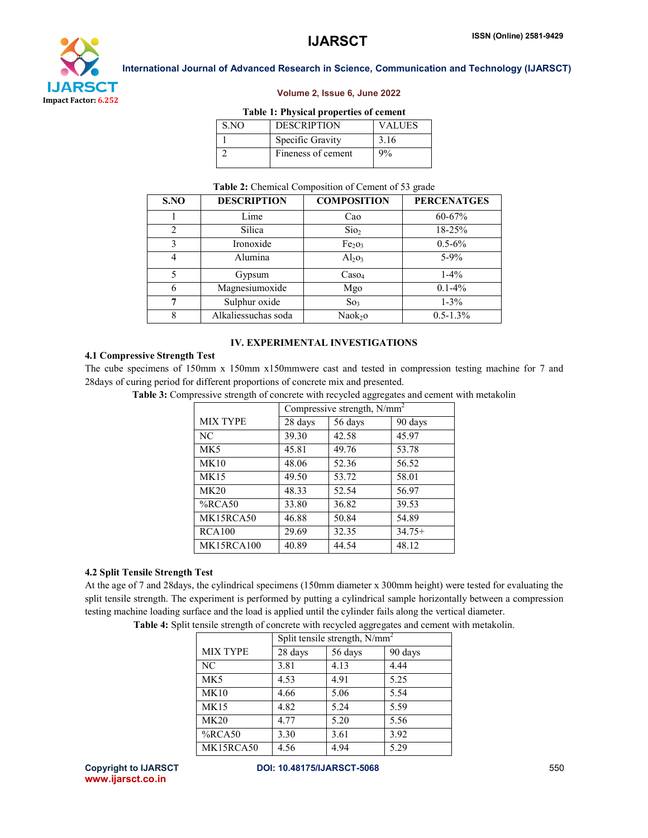

#### Volume 2, Issue 6, June 2022

#### Table 1: Physical properties of cement

| S.NO | <b>DESCRIPTION</b> | <b>VALUES</b> |
|------|--------------------|---------------|
|      | Specific Gravity   | 3.16          |
|      | Fineness of cement | 9%            |

#### Table 2: Chemical Composition of Cement of 53 grade

| S.NO                        | <b>DESCRIPTION</b>  | <b>COMPOSITION</b>             | <b>PERCENATGES</b> |
|-----------------------------|---------------------|--------------------------------|--------------------|
|                             | Lime                | Cao                            | 60-67%             |
| $\mathcal{D}_{\mathcal{L}}$ | Silica              | Si <sub>2</sub>                | 18-25%             |
| 3                           | Ironoxide           | Fe <sub>2</sub> O <sub>3</sub> | $0.5 - 6\%$        |
| 4                           | Alumina             | $Al_2O_3$                      | $5-9%$             |
|                             | Gypsum              | $\text{Caso}_4$                | $1-4%$             |
| 6                           | Magnesiumoxide      | Mgo                            | $0.1 - 4\%$        |
| 7                           | Sulphur oxide       | So <sub>3</sub>                | $1 - 3\%$          |
| 8                           | Alkaliessuchas soda | Naok <sub>2</sub> o            | $0.5 - 1.3\%$      |

# IV. EXPERIMENTAL INVESTIGATIONS

### 4.1 Compressive Strength Test

The cube specimens of 150mm x 150mm x150mmwere cast and tested in compression testing machine for 7 and 28days of curing period for different proportions of concrete mix and presented.

Table 3: Compressive strength of concrete with recycled aggregates and cement with metakolin

|                 | Compressive strength, N/mm <sup>2</sup> |         |          |
|-----------------|-----------------------------------------|---------|----------|
| <b>MIX TYPE</b> | 28 days                                 | 56 days | 90 days  |
| NC.             | 39.30                                   | 42.58   | 45.97    |
| MK <sub>5</sub> | 45.81                                   | 49.76   | 53.78    |
| MK10            | 48.06                                   | 52.36   | 56.52    |
| <b>MK15</b>     | 49.50                                   | 53.72   | 58.01    |
| MK20            | 48.33                                   | 52.54   | 56.97    |
| $%$ RCA50       | 33.80                                   | 36.82   | 39.53    |
| MK15RCA50       | 46.88                                   | 50.84   | 54.89    |
| RCA100          | 29.69                                   | 32.35   | $34.75+$ |
| MK15RCA100      | 40.89                                   | 44.54   | 48.12    |

## 4.2 Split Tensile Strength Test

At the age of 7 and 28days, the cylindrical specimens (150mm diameter x 300mm height) were tested for evaluating the split tensile strength. The experiment is performed by putting a cylindrical sample horizontally between a compression testing machine loading surface and the load is applied until the cylinder fails along the vertical diameter.

|                 | Split tensile strength, $N/mm^2$ |         |         |
|-----------------|----------------------------------|---------|---------|
| <b>MIX TYPE</b> | 28 days                          | 56 days | 90 days |
| NC              | 3.81                             | 4.13    | 4.44    |
| MK <sub>5</sub> | 4.53                             | 4.91    | 5.25    |
| MK10            | 4.66                             | 5.06    | 5.54    |
| <b>MK15</b>     | 4.82                             | 5.24    | 5.59    |
| MK20            | 4.77                             | 5.20    | 5.56    |
| $%$ RCA50       | 3.30                             | 3.61    | 3.92    |
| MK15RCA50       | 4.56                             | 4.94    | 5.29    |

Table 4: Split tensile strength of concrete with recycled aggregates and cement with metakolin.

www.ijarsct.co.in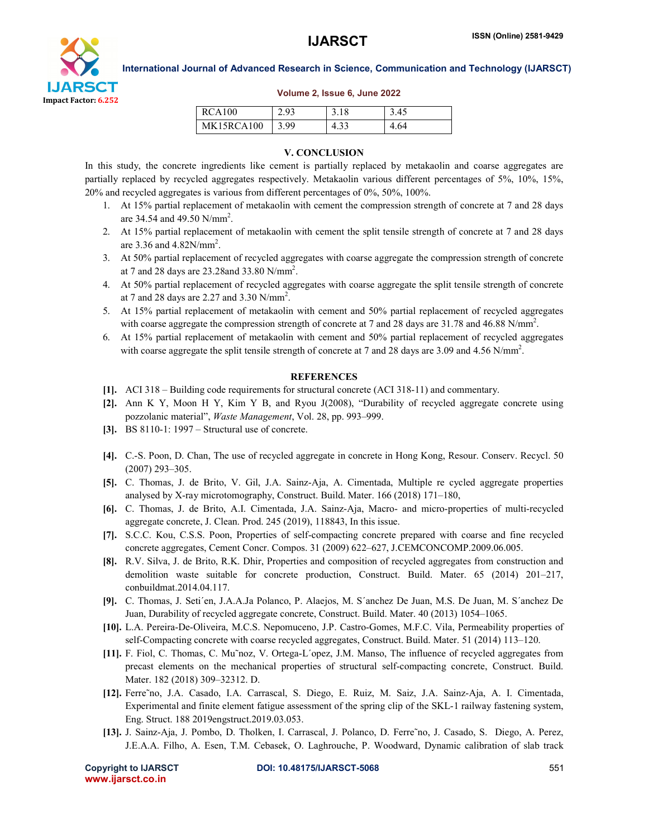

#### Volume 2, Issue 6, June 2022

| RCA100     | <u>າດ3</u> |                      | 3.45 |
|------------|------------|----------------------|------|
| MK15RCA100 | 3.99       | $\Lambda$ 33<br>T.JJ | 4.64 |

### V. CONCLUSION

In this study, the concrete ingredients like cement is partially replaced by metakaolin and coarse aggregates are partially replaced by recycled aggregates respectively. Metakaolin various different percentages of 5%, 10%, 15%, 20% and recycled aggregates is various from different percentages of 0%, 50%, 100%.

- 1. At 15% partial replacement of metakaolin with cement the compression strength of concrete at 7 and 28 days are 34.54 and 49.50  $N/mm^2$ .
- 2. At 15% partial replacement of metakaolin with cement the split tensile strength of concrete at 7 and 28 days are 3.36 and 4.82N/mm<sup>2</sup>.
- 3. At 50% partial replacement of recycled aggregates with coarse aggregate the compression strength of concrete at 7 and 28 days are 23.28and 33.80 N/mm2 .
- 4. At 50% partial replacement of recycled aggregates with coarse aggregate the split tensile strength of concrete at 7 and 28 days are 2.27 and 3.30  $N/mm^2$ .
- 5. At 15% partial replacement of metakaolin with cement and 50% partial replacement of recycled aggregates with coarse aggregate the compression strength of concrete at 7 and 28 days are 31.78 and 46.88 N/mm<sup>2</sup>.
- 6. At 15% partial replacement of metakaolin with cement and 50% partial replacement of recycled aggregates with coarse aggregate the split tensile strength of concrete at 7 and 28 days are 3.09 and 4.56 N/mm<sup>2</sup>.

### **REFERENCES**

- [1]. ACI 318 Building code requirements for structural concrete (ACI 318-11) and commentary.
- [2]. Ann K Y, Moon H Y, Kim Y B, and Ryou J(2008), "Durability of recycled aggregate concrete using pozzolanic material", *Waste Management*, Vol. 28, pp. 993–999.
- [3]. BS 8110-1: 1997 Structural use of concrete.
- [4]. C.-S. Poon, D. Chan, The use of recycled aggregate in concrete in Hong Kong, Resour. Conserv. Recycl. 50 (2007) 293–305.
- [5]. C. Thomas, J. de Brito, V. Gil, J.A. Sainz-Aja, A. Cimentada, Multiple re cycled aggregate properties analysed by X-ray microtomography, Construct. Build. Mater. 166 (2018) 171–180,
- [6]. C. Thomas, J. de Brito, A.I. Cimentada, J.A. Sainz-Aja, Macro- and micro-properties of multi-recycled aggregate concrete, J. Clean. Prod. 245 (2019), 118843, In this issue.
- [7]. S.C.C. Kou, C.S.S. Poon, Properties of self-compacting concrete prepared with coarse and fine recycled concrete aggregates, Cement Concr. Compos. 31 (2009) 622–627, J.CEMCONCOMP.2009.06.005.
- [8]. R.V. Silva, J. de Brito, R.K. Dhir, Properties and composition of recycled aggregates from construction and demolition waste suitable for concrete production, Construct. Build. Mater. 65 (2014) 201–217, conbuildmat.2014.04.117.
- [9]. C. Thomas, J. Seti´en, J.A.A.Ja Polanco, P. Alaejos, M. S´anchez De Juan, M.S. De Juan, M. S´anchez De Juan, Durability of recycled aggregate concrete, Construct. Build. Mater. 40 (2013) 1054–1065.
- [10]. L.A. Pereira-De-Oliveira, M.C.S. Nepomuceno, J.P. Castro-Gomes, M.F.C. Vila, Permeability properties of self-Compacting concrete with coarse recycled aggregates, Construct. Build. Mater. 51 (2014) 113–120.
- [11]. F. Fiol, C. Thomas, C. Mu˜noz, V. Ortega-L´opez, J.M. Manso, The influence of recycled aggregates from precast elements on the mechanical properties of structural self-compacting concrete, Construct. Build. Mater. 182 (2018) 309–32312. D.
- [12]. Ferre˜no, J.A. Casado, I.A. Carrascal, S. Diego, E. Ruiz, M. Saiz, J.A. Sainz-Aja, A. I. Cimentada, Experimental and finite element fatigue assessment of the spring clip of the SKL-1 railway fastening system, Eng. Struct. 188 2019engstruct.2019.03.053.
- [13]. J. Sainz-Aja, J. Pombo, D. Tholken, I. Carrascal, J. Polanco, D. Ferre˜no, J. Casado, S. Diego, A. Perez, J.E.A.A. Filho, A. Esen, T.M. Cebasek, O. Laghrouche, P. Woodward, Dynamic calibration of slab track